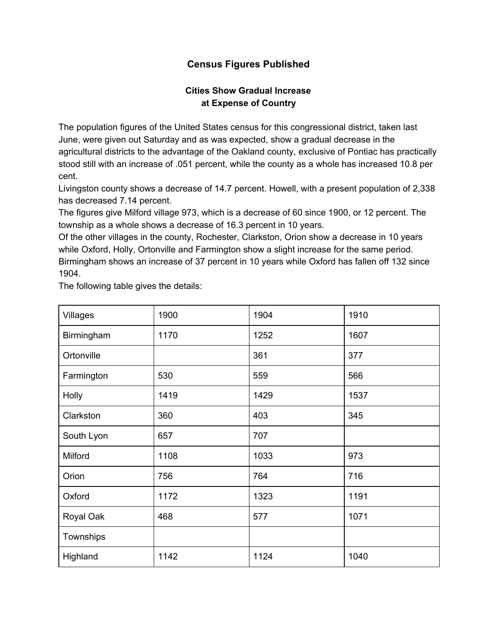## **Census Figures Published**

## **Cities Show Gradual Increase at Expense of Country**

The population figures of the United States census for this congressional district, taken last June, were given out Saturday and as was expected, show a gradual decrease in the agricultural districts to the advantage of the Oakland county, exclusive of Pontiac has practically stood still with an increase of .051 percent, while the county as a whole has increased 10.8 per cent.

Livingston county shows a decrease of 14.7 percent. Howell, with a present population of 2,338 has decreased 7.14 percent.

The figures give Milford village 973, which is a decrease of 60 since 1900, or 12 percent. The township as a whole shows a decrease of 16.3 percent in 10 years.

Of the other villages in the county, Rochester, Clarkston, Orion show a decrease in 10 years while Oxford, Holly, Ortonville and Farmington show a slight increase for the same period. Birmingham shows an increase of 37 percent in 10 years while Oxford has fallen off 132 since 1904.

The following table gives the details:

| Villages   | 1900 | 1904 | 1910 |
|------------|------|------|------|
| Birmingham | 1170 | 1252 | 1607 |
| Ortonville |      | 361  | 377  |
| Farmington | 530  | 559  | 566  |
| Holly      | 1419 | 1429 | 1537 |
| Clarkston  | 360  | 403  | 345  |
| South Lyon | 657  | 707  |      |
| Milford    | 1108 | 1033 | 973  |
| Orion      | 756  | 764  | 716  |
| Oxford     | 1172 | 1323 | 1191 |
| Royal Oak  | 468  | 577  | 1071 |
| Townships  |      |      |      |
| Highland   | 1142 | 1124 | 1040 |